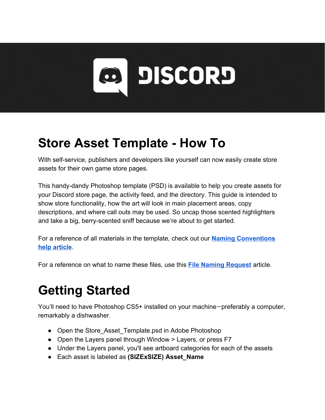

## **Store Asset Template - How To**

With self-service, publishers and developers like yourself can now easily create store assets for their own game store pages.

This handy-dandy Photoshop template (PSD) is available to help you create assets for your Discord store page, the activity feed, and the directory. This guide is intended to show store functionality, how the art will look in main placement areas, copy descriptions, and where call outs may be used. So uncap those scented highlighters and take a big, berry-scented sniff because we're about to get started.

For a reference of all materials in the template, check out our **[Naming Conventions](https://support.discordapp.com/hc/en-us/articles/360021631412-Store-Asset-Naming-Conventions) [help article](https://support.discordapp.com/hc/en-us/articles/360021631412-Store-Asset-Naming-Conventions)**.

For a reference on what to name these files, use this **[File Naming Request](https://support.discordapp.com/hc/en-us/articles/360022808852-File-Naming-Request)** article.

## **Getting Started**

You'll need to have Photoshop CS5+ installed on your machine—preferably a computer, remarkably a dishwasher.

- Open the Store Asset Template.psd in Adobe Photoshop
- Open the Layers panel through Window > Layers, or press F7
- Under the Layers panel, you'll see artboard categories for each of the assets
- Each asset is labeled as **(SIZExSIZE) Asset\_Name**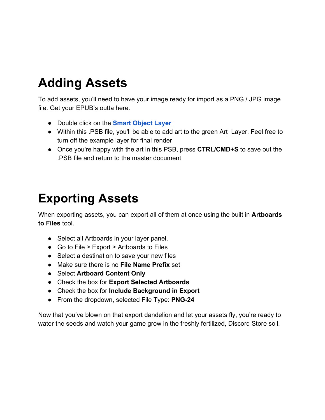# **Adding Assets**

To add assets, you'll need to have your image ready for import as a PNG / JPG image file. Get your EPUB's outta here.

- Double click on th[e](https://helpx.adobe.com/photoshop/using/create-smart-objects.html) **[Smart Object Layer](https://helpx.adobe.com/photoshop/using/create-smart-objects.html)**
- Within this .PSB file, you'll be able to add art to the green Art Layer. Feel free to turn off the example layer for final render
- Once you're happy with the art in this PSB, press **CTRL/CMD+S** to save out the .PSB file and return to the master document

### **Exporting Assets**

When exporting assets, you can export all of them at once using the built in **Artboards to Files** tool.

- Select all Artboards in your layer panel.
- Go to File > Export > Artboards to Files
- Select a destination to save your new files
- Make sure there is no **File Name Prefix** set
- Select **Artboard Content Only**
- Check the box for **Export Selected Artboards**
- Check the box for **Include Background in Export**
- From the dropdown, selected File Type: **PNG-24**

Now that you've blown on that export dandelion and let your assets fly, you're ready to water the seeds and watch your game grow in the freshly fertilized, Discord Store soil.